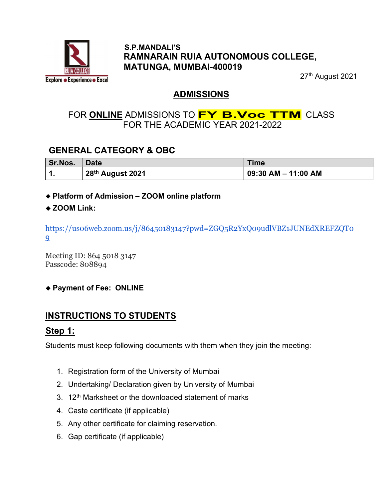

#### S.P.MANDALI'S RAMNARAIN RUIA AUTONOMOUS COLLEGE, MATUNGA, MUMBAI-400019

27th August 2021

#### ADMISSIONS

### FOR ONLINE ADMISSIONS TO **FY B.Voc TTM** CLASS FOR THE ACADEMIC YEAR 2021-2022

### GENERAL CATEGORY & OBC

| Sr.Nos. | <b>Date</b>      | <b>Time</b>         |
|---------|------------------|---------------------|
|         | 28th August 2021 | 09:30 AM – 11:00 AM |

#### Platform of Admission – ZOOM online platform

#### ◆ ZOOM Link:

https://us06web.zoom.us/j/86450183147?pwd=ZGQ5R2YxQ09udlVBZ1JUNEdXREFZQT0 9

Meeting ID: 864 5018 3147 Passcode: 808894

#### ◆ Payment of Fee: ONLINE

### INSTRUCTIONS TO STUDENTS

#### Step 1:

Students must keep following documents with them when they join the meeting:

- 1. Registration form of the University of Mumbai
- 2. Undertaking/ Declaration given by University of Mumbai
- $3.12<sup>th</sup>$  Marksheet or the downloaded statement of marks
- 4. Caste certificate (if applicable)
- 5. Any other certificate for claiming reservation.
- 6. Gap certificate (if applicable)